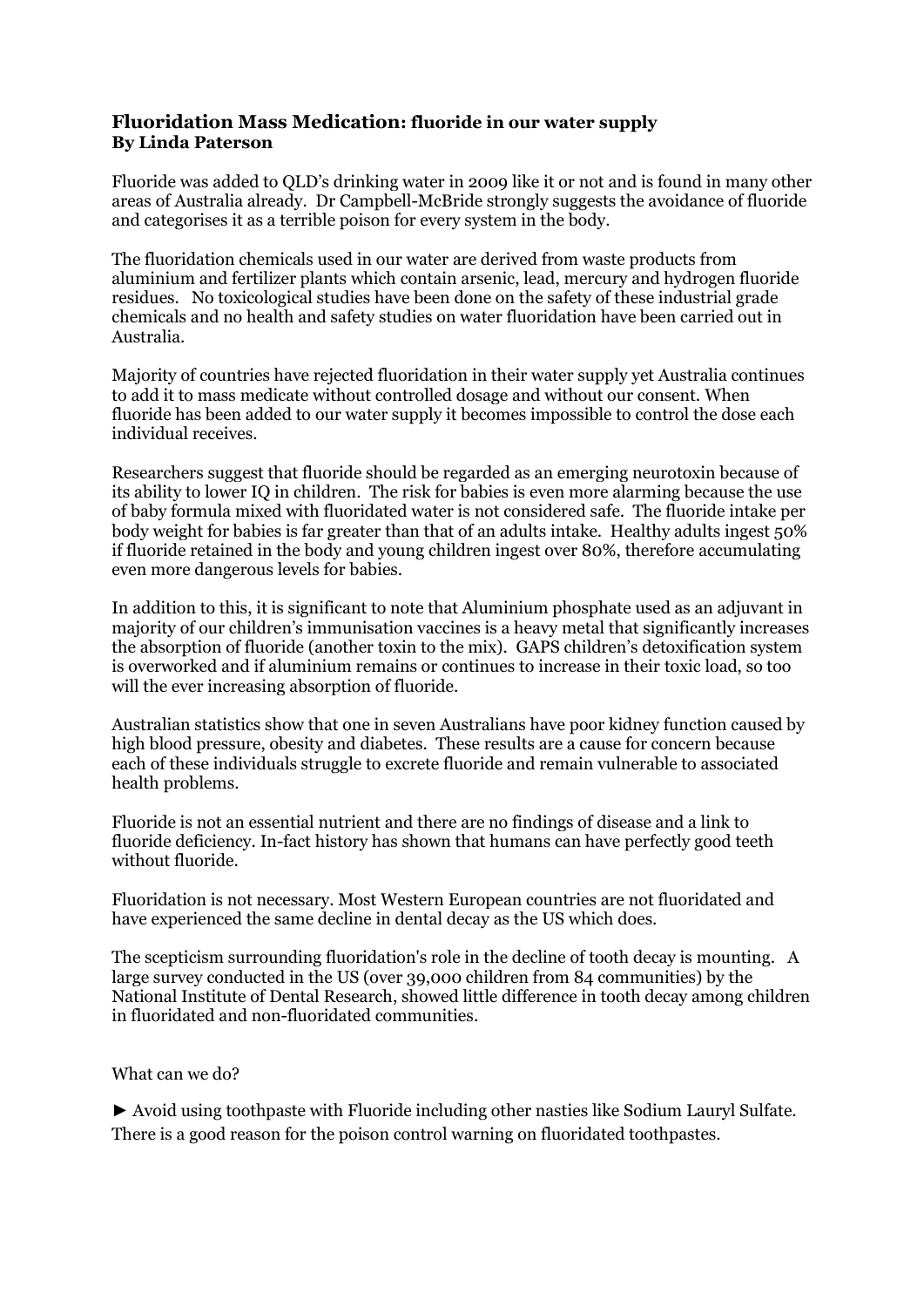## **Fluoridation Mass Medication: fluoride in our water supply By Linda Paterson**

Fluoride was added to QLD's drinking water in 2009 like it or not and is found in many other areas of Australia already. Dr Campbell-McBride strongly suggests the avoidance of fluoride and categorises it as a terrible poison for every system in the body.

The fluoridation chemicals used in our water are derived from waste products from aluminium and fertilizer plants which contain arsenic, lead, mercury and hydrogen fluoride residues. No toxicological studies have been done on the safety of these industrial grade chemicals and no health and safety studies on water fluoridation have been carried out in Australia.

Majority of countries have rejected fluoridation in their water supply yet Australia continues to add it to mass medicate without controlled dosage and without our consent. When fluoride has been added to our water supply it becomes impossible to control the dose each individual receives.

Researchers suggest that fluoride should be regarded as an emerging neurotoxin because of its ability to lower IQ in children. The risk for babies is even more alarming because the use of baby formula mixed with fluoridated water is not considered safe. The fluoride intake per body weight for babies is far greater than that of an adults intake. Healthy adults ingest 50% if fluoride retained in the body and young children ingest over 80%, therefore accumulating even more dangerous levels for babies.

In addition to this, it is significant to note that Aluminium phosphate used as an adjuvant in majority of our children's immunisation vaccines is a heavy metal that significantly increases the absorption of fluoride (another toxin to the mix). GAPS children's detoxification system is overworked and if aluminium remains or continues to increase in their toxic load, so too will the ever increasing absorption of fluoride.

Australian statistics show that one in seven Australians have poor kidney function caused by high blood pressure, obesity and diabetes. These results are a cause for concern because each of these individuals struggle to excrete fluoride and remain vulnerable to associated health problems.

Fluoride is not an essential nutrient and there are no findings of disease and a link to fluoride deficiency. In-fact history has shown that humans can have perfectly good teeth without fluoride.

Fluoridation is not necessary. Most Western European countries are not fluoridated and have experienced the same decline in dental decay as the US which does.

The scepticism surrounding fluoridation's role in the decline of tooth decay is mounting. A large survey conducted in the US (over 39,000 children from 84 communities) by the National Institute of Dental Research, showed little difference in tooth decay among children in fluoridated and non-fluoridated communities.

## What can we do?

► Avoid using toothpaste with Fluoride including other nasties like Sodium Lauryl Sulfate. There is a good reason for the poison control warning on fluoridated toothpastes.